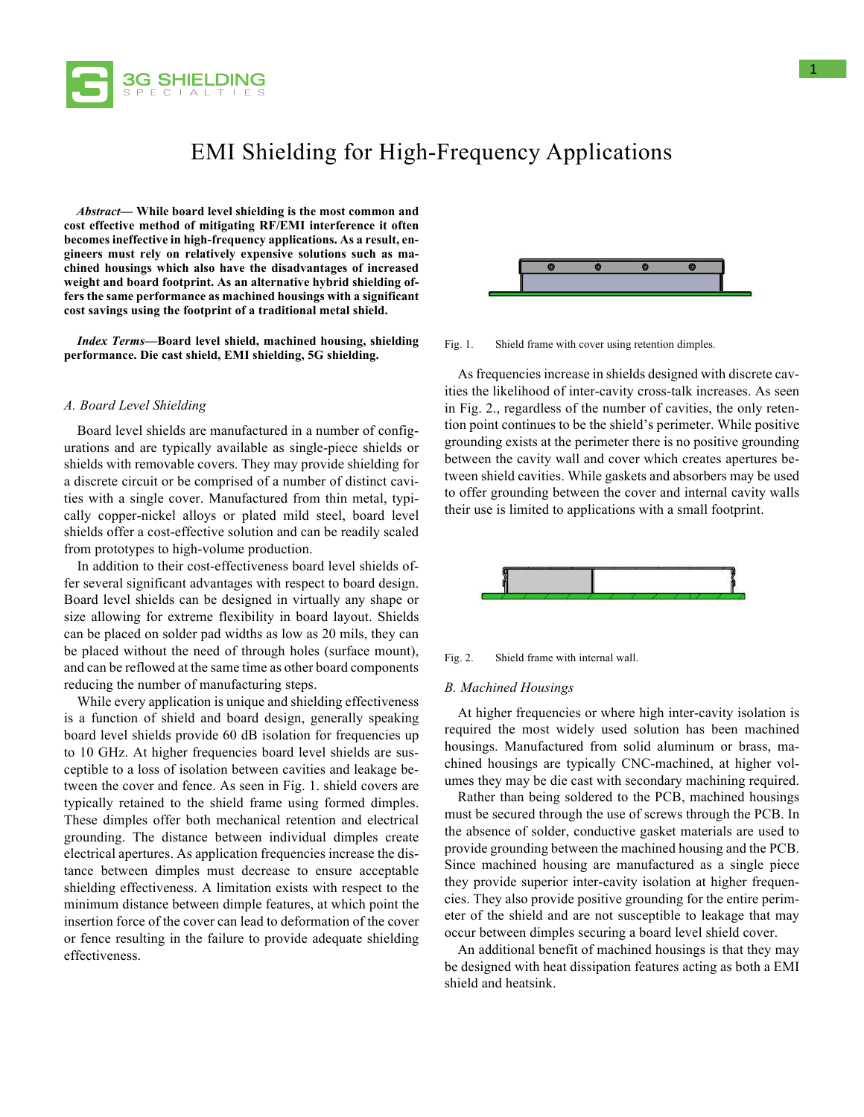

# EMI Shielding for High-Frequency Applications

*Abstract***— While board level shielding is the most common and cost effective method of mitigating RF/EMI interference it often becomes ineffective in high-frequency applications. As a result, engineers must rely on relatively expensive solutions such as machined housings which also have the disadvantages of increased weight and board footprint. As an alternative hybrid shielding offers the same performance as machined housings with a significant cost savings using the footprint of a traditional metal shield.**

*Index Terms***—Board level shield, machined housing, shielding performance. Die cast shield, EMI shielding, 5G shielding.**

#### *A. Board Level Shielding*

Board level shields are manufactured in a number of configurations and are typically available as single-piece shields or shields with removable covers. They may provide shielding for a discrete circuit or be comprised of a number of distinct cavities with a single cover. Manufactured from thin metal, typically copper-nickel alloys or plated mild steel, board level shields offer a cost-effective solution and can be readily scaled from prototypes to high-volume production.

In addition to their cost-effectiveness board level shields offer several significant advantages with respect to board design. Board level shields can be designed in virtually any shape or size allowing for extreme flexibility in board layout. Shields can be placed on solder pad widths as low as 20 mils, they can be placed without the need of through holes (surface mount), and can be reflowed at the same time as other board components reducing the number of manufacturing steps.

While every application is unique and shielding effectiveness is a function of shield and board design, generally speaking board level shields provide 60 dB isolation for frequencies up to 10 GHz. At higher frequencies board level shields are susceptible to a loss of isolation between cavities and leakage between the cover and fence. As seen in Fig. 1. shield covers are typically retained to the shield frame using formed dimples. These dimples offer both mechanical retention and electrical grounding. The distance between individual dimples create electrical apertures. As application frequencies increase the distance between dimples must decrease to ensure acceptable shielding effectiveness. A limitation exists with respect to the minimum distance between dimple features, at which point the insertion force of the cover can lead to deformation of the cover or fence resulting in the failure to provide adequate shielding effectiveness.



Fig. 1. Shield frame with cover using retention dimples.

As frequencies increase in shields designed with discrete cavities the likelihood of inter-cavity cross-talk increases. As seen in Fig. 2., regardless of the number of cavities, the only retention point continues to be the shield's perimeter. While positive grounding exists at the perimeter there is no positive grounding between the cavity wall and cover which creates apertures between shield cavities. While gaskets and absorbers may be used to offer grounding between the cover and internal cavity walls their use is limited to applications with a small footprint.





#### *B. Machined Housings*

At higher frequencies or where high inter-cavity isolation is required the most widely used solution has been machined housings. Manufactured from solid aluminum or brass, machined housings are typically CNC-machined, at higher volumes they may be die cast with secondary machining required.

Rather than being soldered to the PCB, machined housings must be secured through the use of screws through the PCB. In the absence of solder, conductive gasket materials are used to provide grounding between the machined housing and the PCB. Since machined housing are manufactured as a single piece they provide superior inter-cavity isolation at higher frequencies. They also provide positive grounding for the entire perimeter of the shield and are not susceptible to leakage that may occur between dimples securing a board level shield cover.

An additional benefit of machined housings is that they may be designed with heat dissipation features acting as both a EMI shield and heatsink.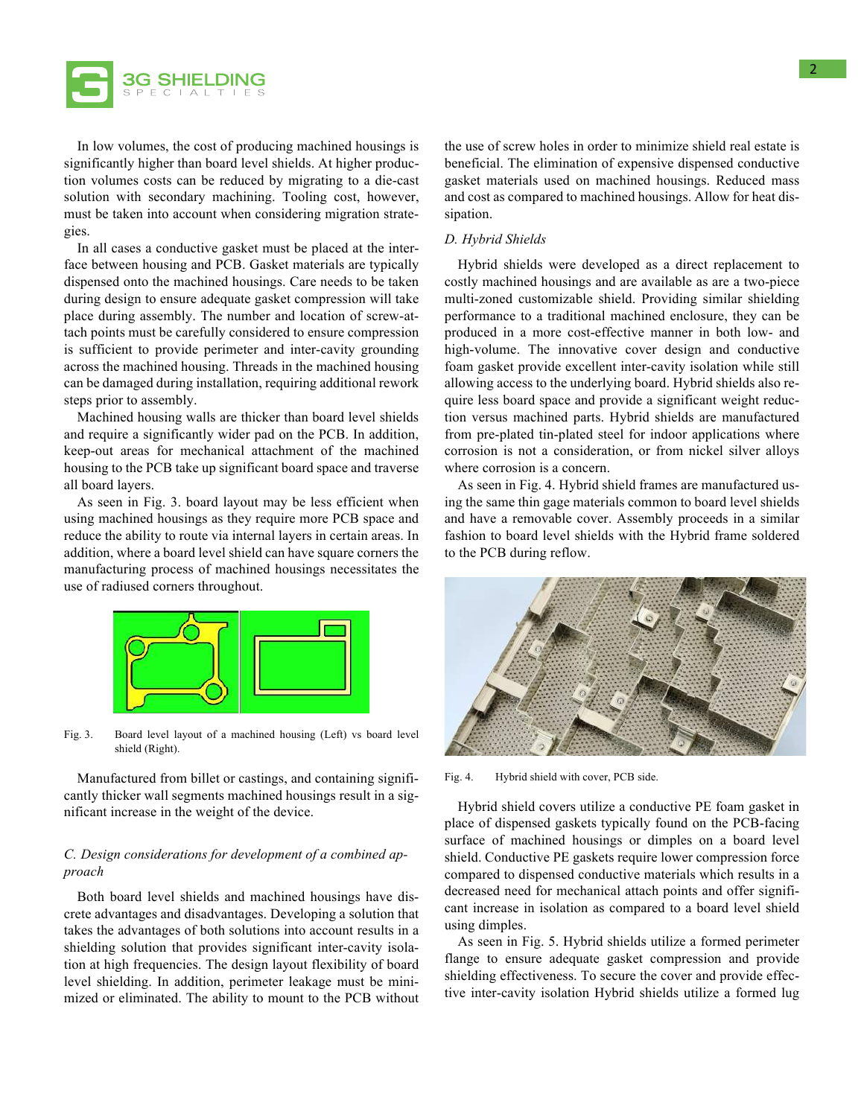

In low volumes, the cost of producing machined housings is significantly higher than board level shields. At higher production volumes costs can be reduced by migrating to a die-cast solution with secondary machining. Tooling cost, however, must be taken into account when considering migration strategies.

In all cases a conductive gasket must be placed at the interface between housing and PCB. Gasket materials are typically dispensed onto the machined housings. Care needs to be taken during design to ensure adequate gasket compression will take place during assembly. The number and location of screw-attach points must be carefully considered to ensure compression is sufficient to provide perimeter and inter-cavity grounding across the machined housing. Threads in the machined housing can be damaged during installation, requiring additional rework steps prior to assembly.

Machined housing walls are thicker than board level shields and require a significantly wider pad on the PCB. In addition, keep-out areas for mechanical attachment of the machined housing to the PCB take up significant board space and traverse all board layers.

As seen in Fig. 3. board layout may be less efficient when using machined housings as they require more PCB space and reduce the ability to route via internal layers in certain areas. In addition, where a board level shield can have square corners the manufacturing process of machined housings necessitates the use of radiused corners throughout.



Fig. 3. Board level layout of a machined housing (Left) vs board level shield (Right).

Manufactured from billet or castings, and containing significantly thicker wall segments machined housings result in a significant increase in the weight of the device.

# *C. Design considerations for development of a combined approach*

Both board level shields and machined housings have discrete advantages and disadvantages. Developing a solution that takes the advantages of both solutions into account results in a shielding solution that provides significant inter-cavity isolation at high frequencies. The design layout flexibility of board level shielding. In addition, perimeter leakage must be minimized or eliminated. The ability to mount to the PCB without the use of screw holes in order to minimize shield real estate is beneficial. The elimination of expensive dispensed conductive gasket materials used on machined housings. Reduced mass and cost as compared to machined housings. Allow for heat dissipation.

## *D. Hybrid Shields*

Hybrid shields were developed as a direct replacement to costly machined housings and are available as are a two-piece multi-zoned customizable shield. Providing similar shielding performance to a traditional machined enclosure, they can be produced in a more cost-effective manner in both low- and high-volume. The innovative cover design and conductive foam gasket provide excellent inter-cavity isolation while still allowing access to the underlying board. Hybrid shields also require less board space and provide a significant weight reduction versus machined parts. Hybrid shields are manufactured from pre-plated tin-plated steel for indoor applications where corrosion is not a consideration, or from nickel silver alloys where corrosion is a concern.

As seen in Fig. 4. Hybrid shield frames are manufactured using the same thin gage materials common to board level shields and have a removable cover. Assembly proceeds in a similar fashion to board level shields with the Hybrid frame soldered to the PCB during reflow.



Fig. 4. Hybrid shield with cover, PCB side.

Hybrid shield covers utilize a conductive PE foam gasket in place of dispensed gaskets typically found on the PCB-facing surface of machined housings or dimples on a board level shield. Conductive PE gaskets require lower compression force compared to dispensed conductive materials which results in a decreased need for mechanical attach points and offer significant increase in isolation as compared to a board level shield using dimples.

As seen in Fig. 5. Hybrid shields utilize a formed perimeter flange to ensure adequate gasket compression and provide shielding effectiveness. To secure the cover and provide effective inter-cavity isolation Hybrid shields utilize a formed lug